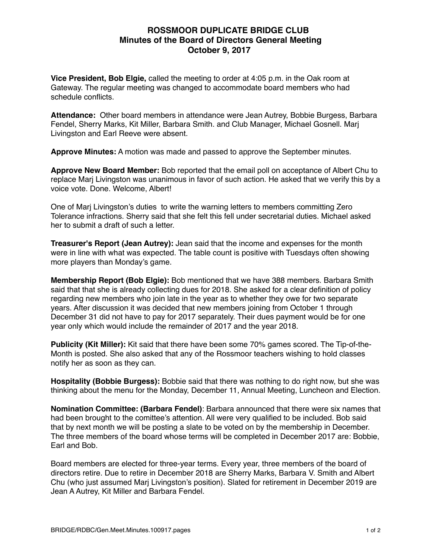## **ROSSMOOR DUPLICATE BRIDGE CLUB Minutes of the Board of Directors General Meeting October 9, 2017**

**Vice President, Bob Elgie,** called the meeting to order at 4:05 p.m. in the Oak room at Gateway. The regular meeting was changed to accommodate board members who had schedule conflicts.

**Attendance:** Other board members in attendance were Jean Autrey, Bobbie Burgess, Barbara Fendel, Sherry Marks, Kit Miller, Barbara Smith. and Club Manager, Michael Gosnell. Marj Livingston and Earl Reeve were absent.

**Approve Minutes:** A motion was made and passed to approve the September minutes.

**Approve New Board Member:** Bob reported that the email poll on acceptance of Albert Chu to replace Marj Livingston was unanimous in favor of such action. He asked that we verify this by a voice vote. Done. Welcome, Albert!

One of Marj Livingston's duties to write the warning letters to members committing Zero Tolerance infractions. Sherry said that she felt this fell under secretarial duties. Michael asked her to submit a draft of such a letter.

**Treasurer's Report (Jean Autrey):** Jean said that the income and expenses for the month were in line with what was expected. The table count is positive with Tuesdays often showing more players than Monday's game.

**Membership Report (Bob Elgie):** Bob mentioned that we have 388 members. Barbara Smith said that that she is already collecting dues for 2018. She asked for a clear definition of policy regarding new members who join late in the year as to whether they owe for two separate years. After discussion it was decided that new members joining from October 1 through December 31 did not have to pay for 2017 separately. Their dues payment would be for one year only which would include the remainder of 2017 and the year 2018.

**Publicity (Kit Miller):** Kit said that there have been some 70% games scored. The Tip-of-the-Month is posted. She also asked that any of the Rossmoor teachers wishing to hold classes notify her as soon as they can.

**Hospitality (Bobbie Burgess):** Bobbie said that there was nothing to do right now, but she was thinking about the menu for the Monday, December 11, Annual Meeting, Luncheon and Election.

**Nomination Committee: (Barbara Fendel)**: Barbara announced that there were six names that had been brought to the comittee's attention. All were very qualified to be included. Bob said that by next month we will be posting a slate to be voted on by the membership in December. The three members of the board whose terms will be completed in December 2017 are: Bobbie, Earl and Bob.

Board members are elected for three-year terms. Every year, three members of the board of directors retire. Due to retire in December 2018 are Sherry Marks, Barbara V. Smith and Albert Chu (who just assumed Marj Livingston's position). Slated for retirement in December 2019 are Jean A Autrey, Kit Miller and Barbara Fendel.